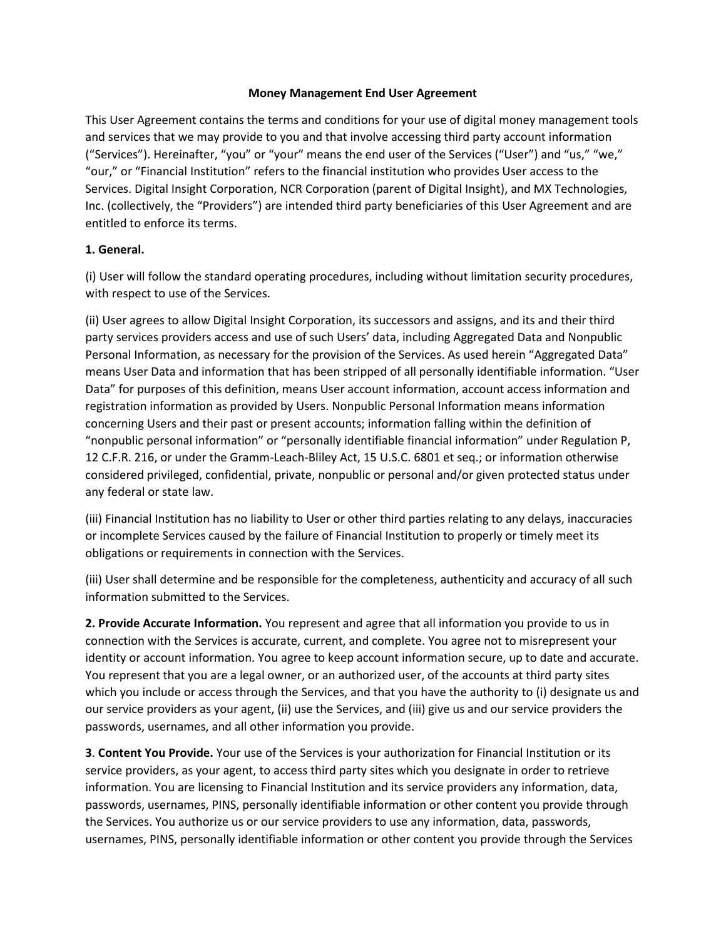## **Money Management End User Agreement**

This User Agreement contains the terms and conditions for your use of digital money management tools and services that we may provide to you and that involve accessing third party account information ("Services"). Hereinafter, "you" or "your" means the end user of the Services ("User") and "us," "we," "our," or "Financial Institution" refers to the financial institution who provides User access to the Services. Digital Insight Corporation, NCR Corporation (parent of Digital Insight), and MX Technologies, Inc. (collectively, the "Providers") are intended third party beneficiaries of this User Agreement and are entitled to enforce its terms.

## 1. General.

(i) User will follow the standard operating procedures, including without limitation security procedures, with respect to use of the Services.

(ii) User agrees to allow Digital Insight Corporation, its successors and assigns, and its and their third party services providers access and use of such Users' data, including Aggregated Data and Nonpublic Personal Information, as necessary for the provision of the Services. As used herein "Aggregated Data" means User Data and information that has been stripped of all personally identifiable information. "User Data" for purposes of this definition, means User account information, account access information and registration information as provided by Users. Nonpublic Personal Information means information concerning Users and their past or present accounts; information falling within the definition of "nonpublic personal information" or "personally identifiable financial information" under Regulation P, 12 C.F.R. 216, or under the Gramm-Leach-Bliley Act, 15 U.S.C. 6801 et seq.; or information otherwise considered privileged, confidential, private, nonpublic or personal and/or given protected status under any federal or state law.

(iii) Financial Institution has no liability to User or other third parties relating to any delays, inaccuracies or incomplete Services caused by the failure of Financial Institution to properly or timely meet its obligations or requirements in connection with the Services.

(iii) User shall determine and be responsible for the completeness, authenticity and accuracy of all such information submitted to the Services.

2. Provide Accurate Information. You represent and agree that all information you provide to us in connection with the Services is accurate, current, and complete. You agree not to misrepresent your identity or account information. You agree to keep account information secure, up to date and accurate. You represent that you are a legal owner, or an authorized user, of the accounts at third party sites which you include or access through the Services, and that you have the authority to (i) designate us and our service providers as your agent, (ii) use the Services, and (iii) give us and our service providers the passwords, usernames, and all other information you provide.

**3. Content You Provide.** Your use of the Services is your authorization for Financial Institution or its service providers, as your agent, to access third party sites which you designate in order to retrieve information. You are licensing to Financial Institution and its service providers any information, data, passwords, usernames, PINS, personally identifiable information or other content you provide through the Services. You authorize us or our service providers to use any information, data, passwords, usernames, PINS, personally identifiable information or other content you provide through the Services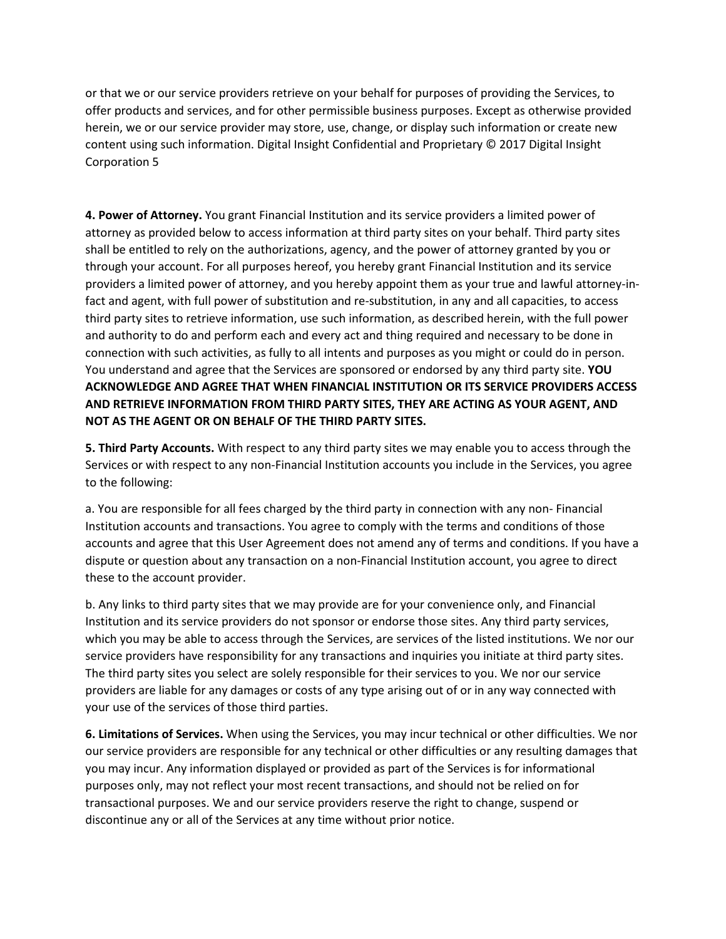or that we or our service providers retrieve on your behalf for purposes of providing the Services, to offer products and services, and for other permissible business purposes. Except as otherwise provided herein, we or our service provider may store, use, change, or display such information or create new content using such information. Digital Insight Confidential and Proprietary © 2017 Digital Insight Corporation 5

4. Power of Attorney. You grant Financial Institution and its service providers a limited power of attorney as provided below to access information at third party sites on your behalf. Third party sites shall be entitled to rely on the authorizations, agency, and the power of attorney granted by you or through your account. For all purposes hereof, you hereby grant Financial Institution and its service providers a limited power of attorney, and you hereby appoint them as your true and lawful attorney-infact and agent, with full power of substitution and re-substitution, in any and all capacities, to access third party sites to retrieve information, use such information, as described herein, with the full power and authority to do and perform each and every act and thing required and necessary to be done in connection with such activities, as fully to all intents and purposes as you might or could do in person. You understand and agree that the Services are sponsored or endorsed by any third party site. YOU  **ACKNOWLEDGE AND AGREE THAT WHEN FINANCIAL INSTITUTION OR ITS SERVICE PROVIDERS ACCESS AND RETRIEVE INFORMATION FROM THIRD PARTY SITES, THEY ARE ACTING AS YOUR AGENT, AND NOT AS THE AGENT OR ON BEHALF OF THE THIRD PARTY SITES.** 

5. Third Party Accounts. With respect to any third party sites we may enable you to access through the Services or with respect to any non-Financial Institution accounts you include in the Services, you agre to the following:

a. You are responsible for all fees charged by the third party in connection with any non- Financial Institution accounts and transactions. You agree to comply with the terms and conditions of those accounts and agree that this User Agreement does not amend any of terms and conditions. If you have a dispute or question about any transaction on a non-Financial Institution account, you agree to direct these to the account provider.

b. Any links to third party sites that we may provide are for your convenience only, and Financial Institution and its service providers do not sponsor or endorse those sites. Any third party services, which you may be able to access through the Services, are services of the listed institutions. We nor our service providers have responsibility for any transactions and inquiries you initiate at third party sites. The third party sites you select are solely responsible for their services to you. We nor our service providers are liable for any damages or costs of any type arising out of or in any way connected with your use of the services of those third parties.

6. Limitations of Services. When using the Services, you may incur technical or other difficulties. We nor our service providers are responsible for any technical or other difficulties or any resulting damages that you may incur. Any information displayed or provided as part of the Services is for informational purposes only, may not reflect your most recent transactions, and should not be relied on for transactional purposes. We and our service providers reserve the right to change, suspend or discontinue any or all of the Services at any time without prior notice.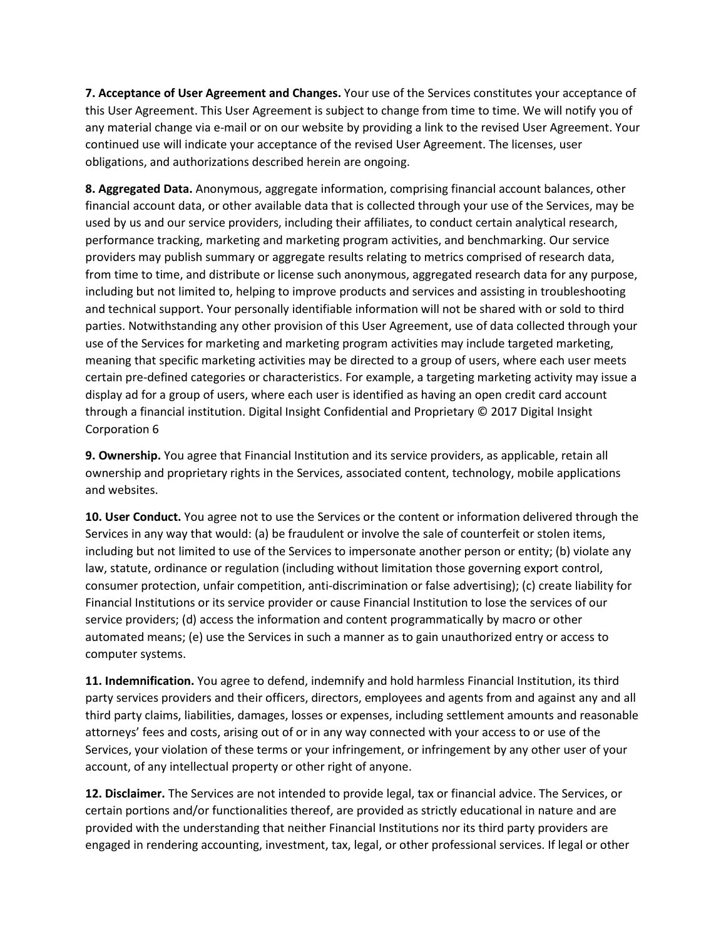7. Acceptance of User Agreement and Changes. Your use of the Services constitutes your acceptance of this User Agreement. This User Agreement is subject to change from time to time. We will notify you of any material change via e-mail or on our website by providing a link to the revised User Agreement. Your continued use will indicate your acceptance of the revised User Agreement. The licenses, user obligations, and authorizations described herein are ongoing.

8. Aggregated Data. Anonymous, aggregate information, comprising financial account balances, other financial account data, or other available data that is collected through your use of the Services, may be used by us and our service providers, including their affiliates, to conduct certain analytical research, performance tracking, marketing and marketing program activities, and benchmarking. Our service providers may publish summary or aggregate results relating to metrics comprised of research data, from time to time, and distribute or license such anonymous, aggregated research data for any purpose, including but not limited to, helping to improve products and services and assisting in troubleshooting and technical support. Your personally identifiable information will not be shared with or sold to third parties. Notwithstanding any other provision of this User Agreement, use of data collected through your use of the Services for marketing and marketing program activities may include targeted marketing, meaning that specific marketing activities may be directed to a group of users, where each user meets certain pre-defined categories or characteristics. For example, a targeting marketing activity may issue a display ad for a group of users, where each user is identified as having an open credit card account through a financial institution. Digital Insight Confidential and Proprietary © 2017 Digital Insight Corporation 6

9. Ownership. You agree that Financial Institution and its service providers, as applicable, retain all ownership and proprietary rights in the Services, associated content, technology, mobile applications and websites.

10. User Conduct. You agree not to use the Services or the content or information delivered through the Services in any way that would: (a) be fraudulent or involve the sale of counterfeit or stolen items, including but not limited to use of the Services to impersonate another person or entity; (b) violate any law, statute, ordinance or regulation (including without limitation those governing export control, consumer protection, unfair competition, anti-discrimination or false advertising); (c) create liability for Financial Institutions or its service provider or cause Financial Institution to lose the services of our service providers; (d) access the information and content programmatically by macro or other automated means; (e) use the Services in such a manner as to gain unauthorized entry or access to computer systems.

11. Indemnification. You agree to defend, indemnify and hold harmless Financial Institution, its third party services providers and their officers, directors, employees and agents from and against any and all third party claims, liabilities, damages, losses or expenses, including settlement amounts and reasonable attorneys' fees and costs, arising out of or in any way connected with your access to or use of the Services, your violation of these terms or your infringement, or infringement by any other user of your account, of any intellectual property or other right of anyone.

12. Disclaimer. The Services are not intended to provide legal, tax or financial advice. The Services, or certain portions and/or functionalities thereof, are provided as strictly educational in nature and are provided with the understanding that neither Financial Institutions nor its third party providers are engaged in rendering accounting, investment, tax, legal, or other professional services. If legal or other